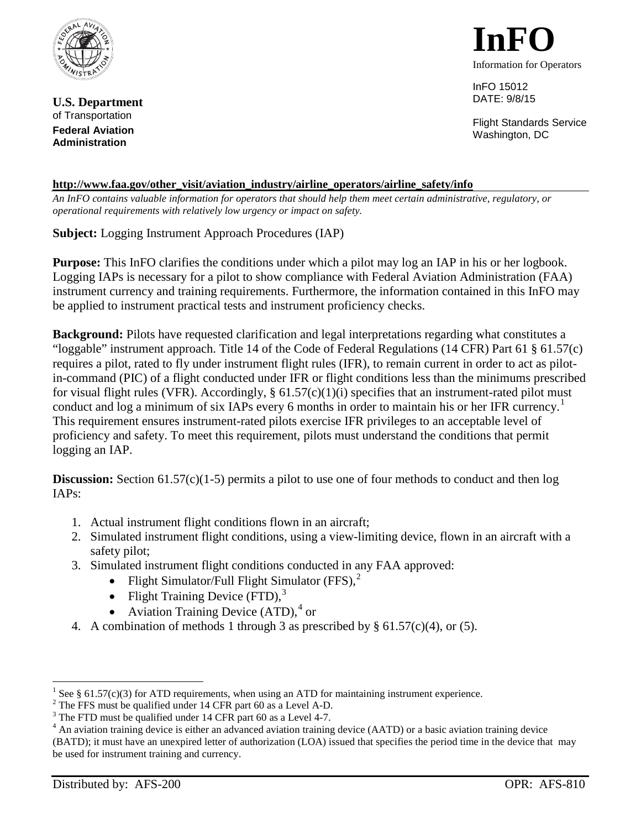

**U.S. Department** of Transportation **Federal Aviation Administration**



InFO 15012 DATE: 9/8/15

Flight Standards Service Washington, DC

## **[http://www.faa.gov/other\\_visit/aviation\\_industry/airline\\_operators/airline\\_safety/info](http://www.faa.gov/other_visit/aviation_industry/airline_operators/airline_safety/info)**

*An InFO contains valuable information for operators that should help them meet certain administrative, regulatory, or operational requirements with relatively low urgency or impact on safety.*

**Subject:** Logging Instrument Approach Procedures (IAP)

**Purpose:** This InFO clarifies the conditions under which a pilot may log an IAP in his or her logbook. Logging IAPs is necessary for a pilot to show compliance with Federal Aviation Administration (FAA) instrument currency and training requirements. Furthermore, the information contained in this InFO may be applied to instrument practical tests and instrument proficiency checks.

**Background:** Pilots have requested clarification and legal interpretations regarding what constitutes a "loggable" instrument approach. Title 14 of the Code of Federal Regulations (14 CFR) Part 61  $\S$  61.57(c) requires a pilot, rated to fly under instrument flight rules (IFR), to remain current in order to act as pilotin-command (PIC) of a flight conducted under IFR or flight conditions less than the minimums prescribed for visual flight rules (VFR). Accordingly,  $\S 61.57(c)(1)(i)$  specifies that an instrument-rated pilot must conduct and log a minimum of six IAPs every 6 months in order to maintain his or her IFR currency.<sup>[1](#page-0-0)</sup> This requirement ensures instrument-rated pilots exercise IFR privileges to an acceptable level of proficiency and safety. To meet this requirement, pilots must understand the conditions that permit logging an IAP.

**Discussion:** Section 61.57(c)(1-5) permits a pilot to use one of four methods to conduct and then log IAPs:

- 1. Actual instrument flight conditions flown in an aircraft;
- 2. Simulated instrument flight conditions, using a view-limiting device, flown in an aircraft with a safety pilot;
- 3. Simulated instrument flight conditions conducted in any FAA approved:
	- Flight Simulator/Full Flight Simulator  $(FFS)$ ,<sup>[2](#page-0-1)</sup>
	- Flight Training Device  $(FTD)$ ,<sup>[3](#page-0-2)</sup>
	- Aviation Training Device (ATD),<sup>[4](#page-0-3)</sup> or
- 4. A combination of methods 1 through 3 as prescribed by § 61.57(c)(4), or (5).

<span id="page-0-3"></span>(BATD); it must have an unexpired letter of authorization (LOA) issued that specifies the period time in the device that may be used for instrument training and currency.

 $\overline{a}$ 

<span id="page-0-1"></span>

<span id="page-0-2"></span>

<span id="page-0-0"></span><sup>&</sup>lt;sup>1</sup> See § 61.57(c)(3) for ATD requirements, when using an ATD for maintaining instrument experience.<br><sup>2</sup> The FFS must be qualified under 14 CFR part 60 as a Level A-D.<br><sup>3</sup> The FTD must be qualified under 14 CFR part 60 as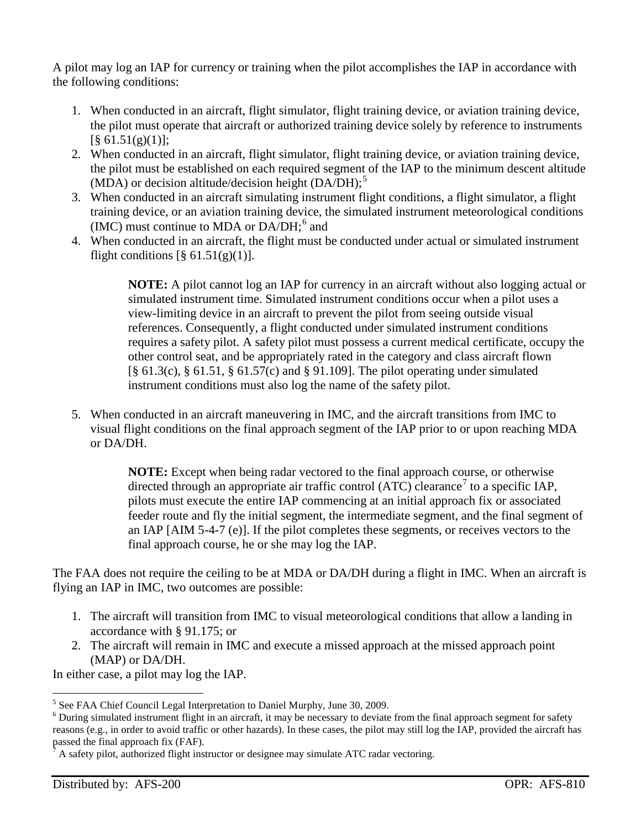A pilot may log an IAP for currency or training when the pilot accomplishes the IAP in accordance with the following conditions:

- 1. When conducted in an aircraft, flight simulator, flight training device, or aviation training device, the pilot must operate that aircraft or authorized training device solely by reference to instruments  $[\S 61.51(g)(1)]$ ;
- 2. When conducted in an aircraft, flight simulator, flight training device, or aviation training device, the pilot must be established on each required segment of the IAP to the minimum descent altitude (MDA) or decision altitude/decision height  $(DA/DH)$ ;<sup>[5](#page-1-0)</sup>
- 3. When conducted in an aircraft simulating instrument flight conditions, a flight simulator, a flight training device, or an aviation training device, the simulated instrument meteorological conditions (IMC) must continue to MDA or  $DA/DH$ ;  $6$  and
- 4. When conducted in an aircraft, the flight must be conducted under actual or simulated instrument flight conditions  $\lceil \frac{8}{9} \cdot 61.51(g)(1) \rceil$ .

**NOTE:** A pilot cannot log an IAP for currency in an aircraft without also logging actual or simulated instrument time. Simulated instrument conditions occur when a pilot uses a view-limiting device in an aircraft to prevent the pilot from seeing outside visual references. Consequently, a flight conducted under simulated instrument conditions requires a safety pilot. A safety pilot must possess a current medical certificate, occupy the other control seat, and be appropriately rated in the category and class aircraft flown [§ 61.3(c), § 61.51, § 61.57(c) and § 91.109]. The pilot operating under simulated instrument conditions must also log the name of the safety pilot.

5. When conducted in an aircraft maneuvering in IMC, and the aircraft transitions from IMC to visual flight conditions on the final approach segment of the IAP prior to or upon reaching MDA or DA/DH.

> **NOTE:** Except when being radar vectored to the final approach course, or otherwise directed through an appropriate air traffic control (ATC) clearance<sup>[7](#page-1-2)</sup> to a specific IAP, pilots must execute the entire IAP commencing at an initial approach fix or associated feeder route and fly the initial segment, the intermediate segment, and the final segment of an IAP [AIM 5-4-7 (e)]. If the pilot completes these segments, or receives vectors to the final approach course, he or she may log the IAP.

The FAA does not require the ceiling to be at MDA or DA/DH during a flight in IMC. When an aircraft is flying an IAP in IMC, two outcomes are possible:

- 1. The aircraft will transition from IMC to visual meteorological conditions that allow a landing in accordance with § 91.175; or
- 2. The aircraft will remain in IMC and execute a missed approach at the missed approach point (MAP) or DA/DH.

In either case, a pilot may log the IAP.

 $\overline{a}$ 

<span id="page-1-1"></span><span id="page-1-0"></span><sup>&</sup>lt;sup>5</sup> See FAA Chief Council Legal Interpretation to Daniel Murphy, June 30, 2009.<br><sup>6</sup> During simulated instrument flight in an aircraft, it may be necessary to deviate from the final approach segment for safety reasons (e.g., in order to avoid traffic or other hazards). In these cases, the pilot may still log the IAP, provided the aircraft has

<span id="page-1-2"></span>A safety pilot, authorized flight instructor or designee may simulate ATC radar vectoring.